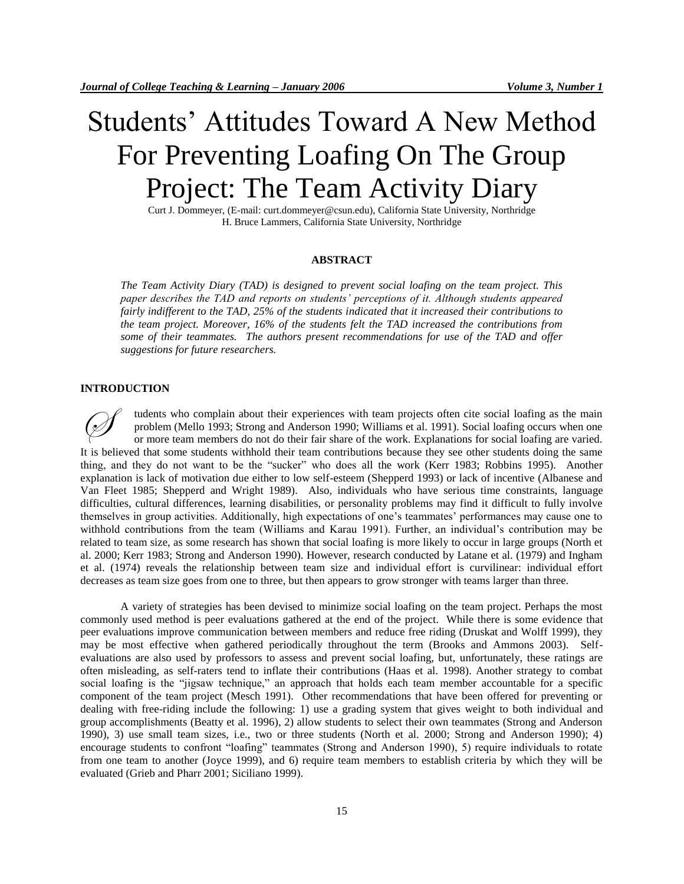# Students' Attitudes Toward A New Method For Preventing Loafing On The Group Project: The Team Activity Diary

Curt J. Dommeyer, (E-mail: curt.dommeyer@csun.edu), California State University, Northridge H. Bruce Lammers, California State University, Northridge

## **ABSTRACT**

*The Team Activity Diary (TAD) is designed to prevent social loafing on the team project. This paper describes the TAD and reports on students' perceptions of it. Although students appeared fairly indifferent to the TAD, 25% of the students indicated that it increased their contributions to the team project. Moreover, 16% of the students felt the TAD increased the contributions from some of their teammates. The authors present recommendations for use of the TAD and offer suggestions for future researchers.*

## **INTRODUCTION**

tudents who complain about their experiences with team projects often cite social loafing as the main problem (Mello 1993; Strong and Anderson 1990; Williams et al. 1991). Social loafing occurs when one or more team members do not do their fair share of the work. Explanations for social loafing are varied. It is believed that some students withhold their team contributions because they see other students doing the same thing, and they do not want to be the "sucker" who does all the work (Kerr 1983; Robbins 1995). Another explanation is lack of motivation due either to low self-esteem (Shepperd 1993) or lack of incentive (Albanese and Van Fleet 1985; Shepperd and Wright 1989). Also, individuals who have serious time constraints, language difficulties, cultural differences, learning disabilities, or personality problems may find it difficult to fully involve themselves in group activities. Additionally, high expectations of one's teammates' performances may cause one to withhold contributions from the team (Williams and Karau 1991). Further, an individual's contribution may be related to team size, as some research has shown that social loafing is more likely to occur in large groups (North et al. 2000; Kerr 1983; Strong and Anderson 1990). However, research conducted by Latane et al. (1979) and Ingham et al. (1974) reveals the relationship between team size and individual effort is curvilinear: individual effort decreases as team size goes from one to three, but then appears to grow stronger with teams larger than three.  $\oslash$ 

A variety of strategies has been devised to minimize social loafing on the team project. Perhaps the most commonly used method is peer evaluations gathered at the end of the project. While there is some evidence that peer evaluations improve communication between members and reduce free riding (Druskat and Wolff 1999), they may be most effective when gathered periodically throughout the term (Brooks and Ammons 2003). Selfevaluations are also used by professors to assess and prevent social loafing, but, unfortunately, these ratings are often misleading, as self-raters tend to inflate their contributions (Haas et al. 1998). Another strategy to combat social loafing is the "jigsaw technique," an approach that holds each team member accountable for a specific component of the team project (Mesch 1991). Other recommendations that have been offered for preventing or dealing with free-riding include the following: 1) use a grading system that gives weight to both individual and group accomplishments (Beatty et al. 1996), 2) allow students to select their own teammates (Strong and Anderson 1990), 3) use small team sizes, i.e., two or three students (North et al. 2000; Strong and Anderson 1990); 4) encourage students to confront "loafing" teammates (Strong and Anderson 1990), 5) require individuals to rotate from one team to another (Joyce 1999), and 6) require team members to establish criteria by which they will be evaluated (Grieb and Pharr 2001; Siciliano 1999).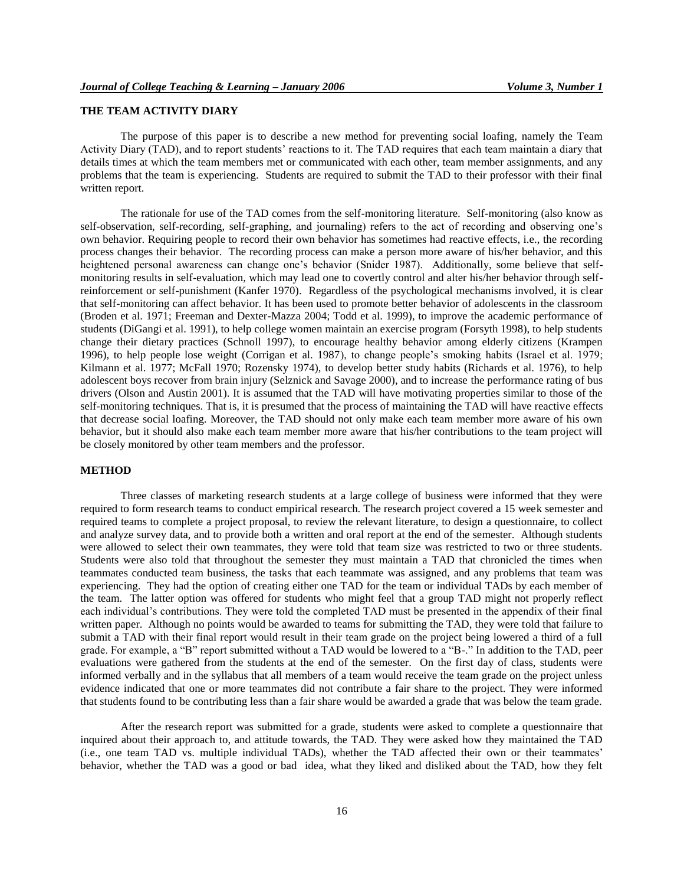# **THE TEAM ACTIVITY DIARY**

The purpose of this paper is to describe a new method for preventing social loafing, namely the Team Activity Diary (TAD), and to report students' reactions to it. The TAD requires that each team maintain a diary that details times at which the team members met or communicated with each other, team member assignments, and any problems that the team is experiencing. Students are required to submit the TAD to their professor with their final written report.

The rationale for use of the TAD comes from the self-monitoring literature. Self-monitoring (also know as self-observation, self-recording, self-graphing, and journaling) refers to the act of recording and observing one's own behavior. Requiring people to record their own behavior has sometimes had reactive effects, i.e., the recording process changes their behavior. The recording process can make a person more aware of his/her behavior, and this heightened personal awareness can change one's behavior (Snider 1987). Additionally, some believe that selfmonitoring results in self-evaluation, which may lead one to covertly control and alter his/her behavior through selfreinforcement or self-punishment (Kanfer 1970). Regardless of the psychological mechanisms involved, it is clear that self-monitoring can affect behavior. It has been used to promote better behavior of adolescents in the classroom (Broden et al. 1971; Freeman and Dexter-Mazza 2004; Todd et al. 1999), to improve the academic performance of students (DiGangi et al. 1991), to help college women maintain an exercise program (Forsyth 1998), to help students change their dietary practices (Schnoll 1997), to encourage healthy behavior among elderly citizens (Krampen 1996), to help people lose weight (Corrigan et al. 1987), to change people's smoking habits (Israel et al. 1979; Kilmann et al. 1977; McFall 1970; Rozensky 1974), to develop better study habits (Richards et al. 1976), to help adolescent boys recover from brain injury (Selznick and Savage 2000), and to increase the performance rating of bus drivers (Olson and Austin 2001). It is assumed that the TAD will have motivating properties similar to those of the self-monitoring techniques. That is, it is presumed that the process of maintaining the TAD will have reactive effects that decrease social loafing. Moreover, the TAD should not only make each team member more aware of his own behavior, but it should also make each team member more aware that his/her contributions to the team project will be closely monitored by other team members and the professor.

# **METHOD**

Three classes of marketing research students at a large college of business were informed that they were required to form research teams to conduct empirical research. The research project covered a 15 week semester and required teams to complete a project proposal, to review the relevant literature, to design a questionnaire, to collect and analyze survey data, and to provide both a written and oral report at the end of the semester. Although students were allowed to select their own teammates, they were told that team size was restricted to two or three students. Students were also told that throughout the semester they must maintain a TAD that chronicled the times when teammates conducted team business, the tasks that each teammate was assigned, and any problems that team was experiencing. They had the option of creating either one TAD for the team or individual TADs by each member of the team. The latter option was offered for students who might feel that a group TAD might not properly reflect each individual's contributions. They were told the completed TAD must be presented in the appendix of their final written paper. Although no points would be awarded to teams for submitting the TAD, they were told that failure to submit a TAD with their final report would result in their team grade on the project being lowered a third of a full grade. For example, a "B" report submitted without a TAD would be lowered to a "B-." In addition to the TAD, peer evaluations were gathered from the students at the end of the semester. On the first day of class, students were informed verbally and in the syllabus that all members of a team would receive the team grade on the project unless evidence indicated that one or more teammates did not contribute a fair share to the project. They were informed that students found to be contributing less than a fair share would be awarded a grade that was below the team grade.

After the research report was submitted for a grade, students were asked to complete a questionnaire that inquired about their approach to, and attitude towards, the TAD. They were asked how they maintained the TAD (i.e., one team TAD vs. multiple individual TADs), whether the TAD affected their own or their teammates' behavior, whether the TAD was a good or bad idea, what they liked and disliked about the TAD, how they felt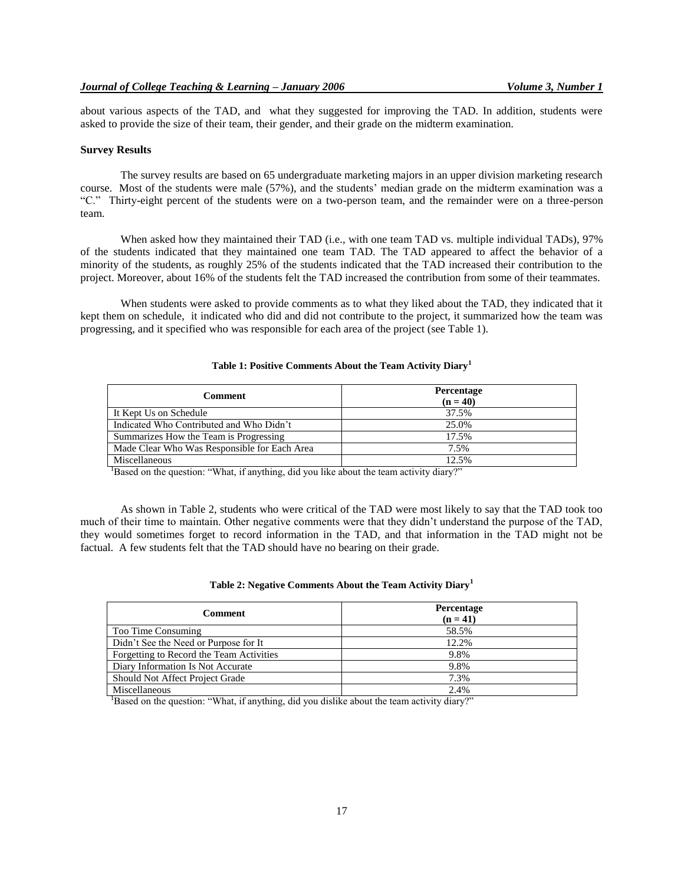about various aspects of the TAD, and what they suggested for improving the TAD. In addition, students were asked to provide the size of their team, their gender, and their grade on the midterm examination.

#### **Survey Results**

The survey results are based on 65 undergraduate marketing majors in an upper division marketing research course. Most of the students were male (57%), and the students' median grade on the midterm examination was a "C." Thirty-eight percent of the students were on a two-person team, and the remainder were on a three-person team.

When asked how they maintained their TAD (i.e., with one team TAD vs. multiple individual TADs), 97% of the students indicated that they maintained one team TAD. The TAD appeared to affect the behavior of a minority of the students, as roughly 25% of the students indicated that the TAD increased their contribution to the project. Moreover, about 16% of the students felt the TAD increased the contribution from some of their teammates.

When students were asked to provide comments as to what they liked about the TAD, they indicated that it kept them on schedule, it indicated who did and did not contribute to the project, it summarized how the team was progressing, and it specified who was responsible for each area of the project (see Table 1).

| Comment                                      | <b>Percentage</b><br>$(n = 40)$ |
|----------------------------------------------|---------------------------------|
| It Kept Us on Schedule                       | 37.5%                           |
| Indicated Who Contributed and Who Didn't     | 25.0%                           |
| Summarizes How the Team is Progressing       | 17.5%                           |
| Made Clear Who Was Responsible for Each Area | 7.5%                            |
| Miscellaneous                                | 12.5%                           |

## **Table 1: Positive Comments About the Team Activity Diary<sup>1</sup>**

<sup>1</sup>Based on the question: "What, if anything, did you like about the team activity diary?"

As shown in Table 2, students who were critical of the TAD were most likely to say that the TAD took too much of their time to maintain. Other negative comments were that they didn't understand the purpose of the TAD, they would sometimes forget to record information in the TAD, and that information in the TAD might not be factual. A few students felt that the TAD should have no bearing on their grade.

| Comment                                  | <b>Percentage</b><br>$(n = 41)$ |
|------------------------------------------|---------------------------------|
| Too Time Consuming                       | 58.5%                           |
| Didn't See the Need or Purpose for It    | 12.2%                           |
| Forgetting to Record the Team Activities | 9.8%                            |
| Diary Information Is Not Accurate        | 9.8%                            |
| <b>Should Not Affect Project Grade</b>   | 7.3%                            |
| Miscellaneous                            | 2.4%                            |

<sup>1</sup>Based on the question: "What, if anything, did you dislike about the team activity diary?"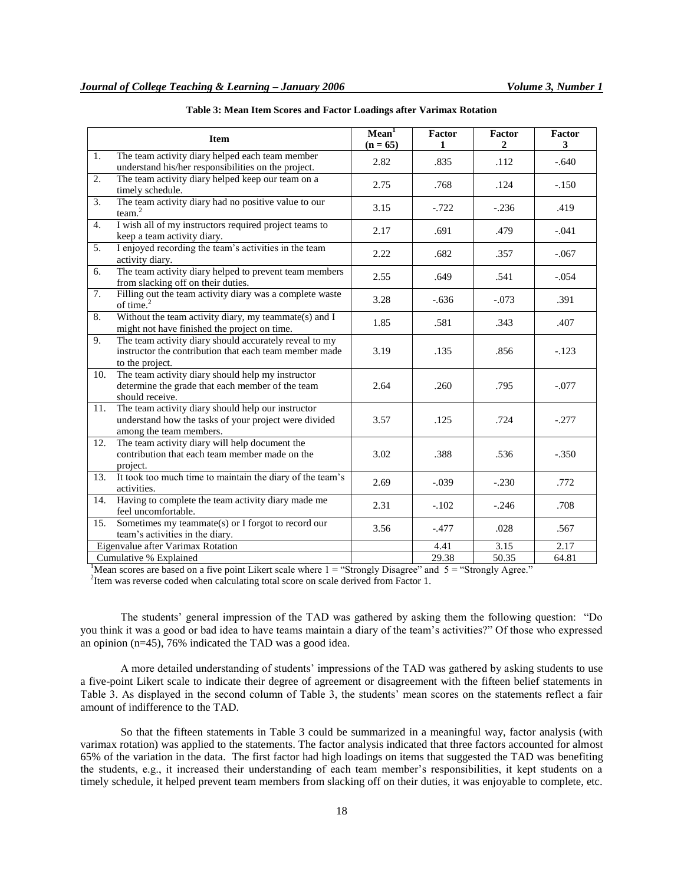|     | <b>Item</b>                                                                                                                            | Mean <sup>1</sup><br>$(n = 65)$ | <b>Factor</b><br>1 | Factor<br>$\overline{2}$ | Factor<br>3 |
|-----|----------------------------------------------------------------------------------------------------------------------------------------|---------------------------------|--------------------|--------------------------|-------------|
| 1.  | The team activity diary helped each team member<br>understand his/her responsibilities on the project.                                 | 2.82                            | .835               | .112                     | $-.640$     |
| 2.  | The team activity diary helped keep our team on a<br>timely schedule.                                                                  | 2.75                            | .768               | .124                     | $-.150$     |
| 3.  | The team activity diary had no positive value to our<br>team. <sup>2</sup>                                                             | 3.15                            | $-0.722$           | $-.236$                  | .419        |
| 4.  | I wish all of my instructors required project teams to<br>keep a team activity diary.                                                  | 2.17                            | .691               | .479                     | $-.041$     |
| 5.  | I enjoyed recording the team's activities in the team<br>activity diary.                                                               | 2.22                            | .682               | .357                     | $-.067$     |
| 6.  | The team activity diary helped to prevent team members<br>from slacking off on their duties.                                           | 2.55                            | .649               | .541                     | $-.054$     |
| 7.  | Filling out the team activity diary was a complete waste<br>of time. $^{2}$                                                            | 3.28                            | $-.636$            | $-.073$                  | .391        |
| 8.  | Without the team activity diary, my teammate(s) and I<br>might not have finished the project on time.                                  | 1.85                            | .581               | .343                     | .407        |
| 9.  | The team activity diary should accurately reveal to my<br>instructor the contribution that each team member made<br>to the project.    | 3.19                            | .135               | .856                     | $-.123$     |
| 10. | The team activity diary should help my instructor<br>determine the grade that each member of the team<br>should receive.               | 2.64                            | .260               | .795                     | $-.077$     |
| 11. | The team activity diary should help our instructor<br>understand how the tasks of your project were divided<br>among the team members. | 3.57                            | .125               | .724                     | $-.277$     |
| 12. | The team activity diary will help document the<br>contribution that each team member made on the<br>project.                           | 3.02                            | .388               | .536                     | $-.350$     |
| 13. | It took too much time to maintain the diary of the team's<br>activities.                                                               | 2.69                            | $-.039$            | $-.230$                  | .772        |
| 14. | Having to complete the team activity diary made me<br>feel uncomfortable.                                                              | 2.31                            | $-.102$            | $-.246$                  | .708        |
| 15. | Sometimes my teammate(s) or I forgot to record our<br>team's activities in the diary.                                                  | 3.56                            | $-.477$            | .028                     | .567        |
|     | Eigenvalue after Varimax Rotation                                                                                                      |                                 | 4.41               | 3.15                     | 2.17        |
|     | Cumulative % Explained                                                                                                                 |                                 | 29.38              | 50.35                    | 64.81       |

| Table 3: Mean Item Scores and Factor Loadings after Varimax Rotation |  |  |
|----------------------------------------------------------------------|--|--|
|----------------------------------------------------------------------|--|--|

<sup>1</sup>Mean scores are based on a five point Likert scale where  $1 =$  "Strongly Disagree" and  $5 =$  "Strongly Agree."

<sup>2</sup> Item was reverse coded when calculating total score on scale derived from Factor 1.

The students' general impression of the TAD was gathered by asking them the following question: "Do you think it was a good or bad idea to have teams maintain a diary of the team's activities?" Of those who expressed an opinion (n=45), 76% indicated the TAD was a good idea.

A more detailed understanding of students' impressions of the TAD was gathered by asking students to use a five-point Likert scale to indicate their degree of agreement or disagreement with the fifteen belief statements in Table 3. As displayed in the second column of Table 3, the students' mean scores on the statements reflect a fair amount of indifference to the TAD.

So that the fifteen statements in Table 3 could be summarized in a meaningful way, factor analysis (with varimax rotation) was applied to the statements. The factor analysis indicated that three factors accounted for almost 65% of the variation in the data. The first factor had high loadings on items that suggested the TAD was benefiting the students, e.g., it increased their understanding of each team member's responsibilities, it kept students on a timely schedule, it helped prevent team members from slacking off on their duties, it was enjoyable to complete, etc.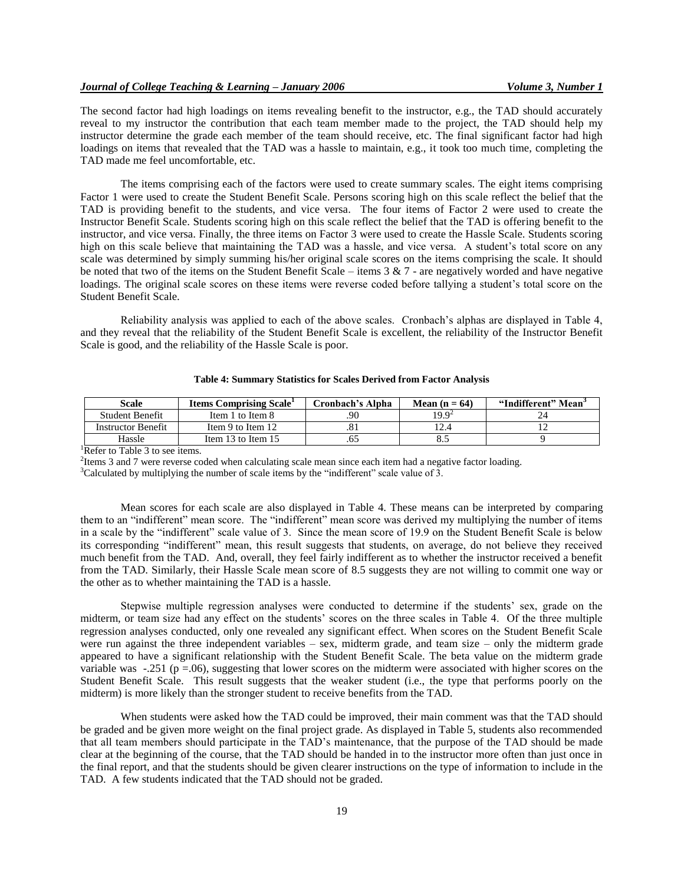The second factor had high loadings on items revealing benefit to the instructor, e.g., the TAD should accurately reveal to my instructor the contribution that each team member made to the project, the TAD should help my instructor determine the grade each member of the team should receive, etc. The final significant factor had high loadings on items that revealed that the TAD was a hassle to maintain, e.g., it took too much time, completing the TAD made me feel uncomfortable, etc.

The items comprising each of the factors were used to create summary scales. The eight items comprising Factor 1 were used to create the Student Benefit Scale. Persons scoring high on this scale reflect the belief that the TAD is providing benefit to the students, and vice versa. The four items of Factor 2 were used to create the Instructor Benefit Scale. Students scoring high on this scale reflect the belief that the TAD is offering benefit to the instructor, and vice versa. Finally, the three items on Factor 3 were used to create the Hassle Scale. Students scoring high on this scale believe that maintaining the TAD was a hassle, and vice versa. A student's total score on any scale was determined by simply summing his/her original scale scores on the items comprising the scale. It should be noted that two of the items on the Student Benefit Scale – items  $3 \& 7$  - are negatively worded and have negative loadings. The original scale scores on these items were reverse coded before tallying a student's total score on the Student Benefit Scale.

Reliability analysis was applied to each of the above scales. Cronbach's alphas are displayed in Table 4, and they reveal that the reliability of the Student Benefit Scale is excellent, the reliability of the Instructor Benefit Scale is good, and the reliability of the Hassle Scale is poor.

| Scale                     | <b>Items Comprising Scale</b> | Cronbach's Alpha | Mean $(n = 64)$   | "Indifferent" Mean" |
|---------------------------|-------------------------------|------------------|-------------------|---------------------|
| Student Benefit           | Item 1 to Item 8              | .90              | 19.9 <sup>2</sup> |                     |
| <b>Instructor Benefit</b> | Item 9 to Item 12             | .                |                   |                     |
| Hassle                    | Item 13 to Item 15            | .ٺ               | ن.ه               |                     |

### **Table 4: Summary Statistics for Scales Derived from Factor Analysis**

<sup>1</sup>Refer to Table 3 to see items.

<sup>2</sup>Items 3 and 7 were reverse coded when calculating scale mean since each item had a negative factor loading.

 $3$ Calculated by multiplying the number of scale items by the "indifferent" scale value of 3.

Mean scores for each scale are also displayed in Table 4. These means can be interpreted by comparing them to an "indifferent" mean score. The "indifferent" mean score was derived my multiplying the number of items in a scale by the "indifferent" scale value of 3. Since the mean score of 19.9 on the Student Benefit Scale is below its corresponding "indifferent" mean, this result suggests that students, on average, do not believe they received much benefit from the TAD. And, overall, they feel fairly indifferent as to whether the instructor received a benefit from the TAD. Similarly, their Hassle Scale mean score of 8.5 suggests they are not willing to commit one way or the other as to whether maintaining the TAD is a hassle.

Stepwise multiple regression analyses were conducted to determine if the students' sex, grade on the midterm, or team size had any effect on the students' scores on the three scales in Table 4. Of the three multiple regression analyses conducted, only one revealed any significant effect. When scores on the Student Benefit Scale were run against the three independent variables – sex, midterm grade, and team size – only the midterm grade appeared to have a significant relationship with the Student Benefit Scale. The beta value on the midterm grade variable was  $-.251$  (p =.06), suggesting that lower scores on the midterm were associated with higher scores on the Student Benefit Scale. This result suggests that the weaker student (i.e., the type that performs poorly on the midterm) is more likely than the stronger student to receive benefits from the TAD.

When students were asked how the TAD could be improved, their main comment was that the TAD should be graded and be given more weight on the final project grade. As displayed in Table 5, students also recommended that all team members should participate in the TAD's maintenance, that the purpose of the TAD should be made clear at the beginning of the course, that the TAD should be handed in to the instructor more often than just once in the final report, and that the students should be given clearer instructions on the type of information to include in the TAD. A few students indicated that the TAD should not be graded.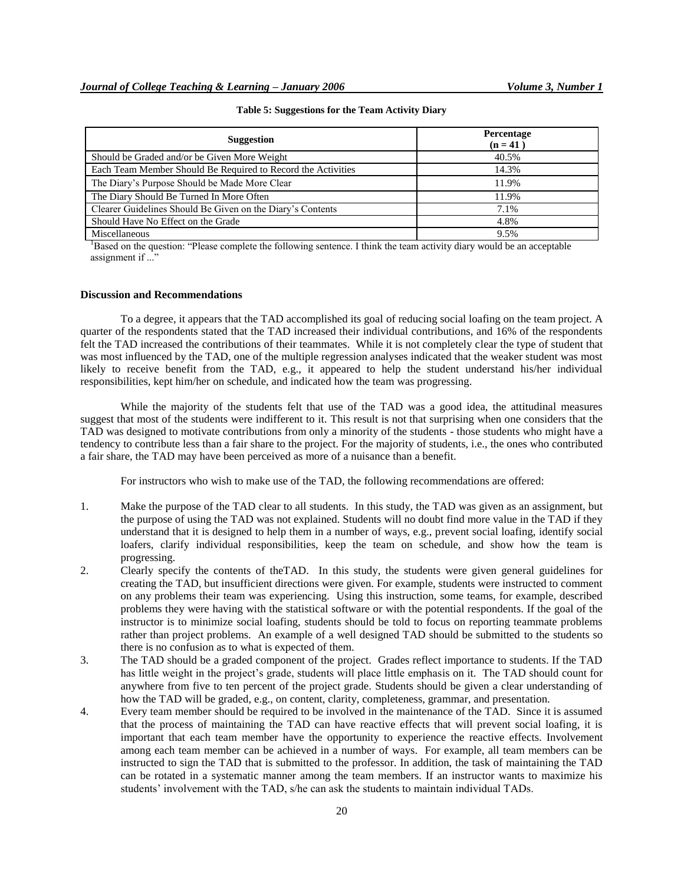| <b>Suggestion</b>                                            | Percentage<br>$(n = 41)$ |
|--------------------------------------------------------------|--------------------------|
| Should be Graded and/or be Given More Weight                 | 40.5%                    |
| Each Team Member Should Be Required to Record the Activities | 14.3%                    |
| The Diary's Purpose Should be Made More Clear                | 11.9%                    |
| The Diary Should Be Turned In More Often                     | 11.9%                    |
| Clearer Guidelines Should Be Given on the Diary's Contents   | 7.1%                     |
| Should Have No Effect on the Grade                           | 4.8%                     |
| Miscellaneous                                                | 9.5%                     |

**Table 5: Suggestions for the Team Activity Diary**

<sup>1</sup>Based on the question: "Please complete the following sentence. I think the team activity diary would be an acceptable assignment if ..."

### **Discussion and Recommendations**

To a degree, it appears that the TAD accomplished its goal of reducing social loafing on the team project. A quarter of the respondents stated that the TAD increased their individual contributions, and 16% of the respondents felt the TAD increased the contributions of their teammates. While it is not completely clear the type of student that was most influenced by the TAD, one of the multiple regression analyses indicated that the weaker student was most likely to receive benefit from the TAD, e.g., it appeared to help the student understand his/her individual responsibilities, kept him/her on schedule, and indicated how the team was progressing.

While the majority of the students felt that use of the TAD was a good idea, the attitudinal measures suggest that most of the students were indifferent to it. This result is not that surprising when one considers that the TAD was designed to motivate contributions from only a minority of the students - those students who might have a tendency to contribute less than a fair share to the project. For the majority of students, i.e., the ones who contributed a fair share, the TAD may have been perceived as more of a nuisance than a benefit.

For instructors who wish to make use of the TAD, the following recommendations are offered:

- 1. Make the purpose of the TAD clear to all students. In this study, the TAD was given as an assignment, but the purpose of using the TAD was not explained. Students will no doubt find more value in the TAD if they understand that it is designed to help them in a number of ways, e.g., prevent social loafing, identify social loafers, clarify individual responsibilities, keep the team on schedule, and show how the team is progressing.
- 2. Clearly specify the contents of theTAD. In this study, the students were given general guidelines for creating the TAD, but insufficient directions were given. For example, students were instructed to comment on any problems their team was experiencing. Using this instruction, some teams, for example, described problems they were having with the statistical software or with the potential respondents. If the goal of the instructor is to minimize social loafing, students should be told to focus on reporting teammate problems rather than project problems. An example of a well designed TAD should be submitted to the students so there is no confusion as to what is expected of them.
- 3. The TAD should be a graded component of the project. Grades reflect importance to students. If the TAD has little weight in the project's grade, students will place little emphasis on it. The TAD should count for anywhere from five to ten percent of the project grade. Students should be given a clear understanding of how the TAD will be graded, e.g., on content, clarity, completeness, grammar, and presentation.
- 4. Every team member should be required to be involved in the maintenance of the TAD. Since it is assumed that the process of maintaining the TAD can have reactive effects that will prevent social loafing, it is important that each team member have the opportunity to experience the reactive effects. Involvement among each team member can be achieved in a number of ways. For example, all team members can be instructed to sign the TAD that is submitted to the professor. In addition, the task of maintaining the TAD can be rotated in a systematic manner among the team members. If an instructor wants to maximize his students' involvement with the TAD, s/he can ask the students to maintain individual TADs.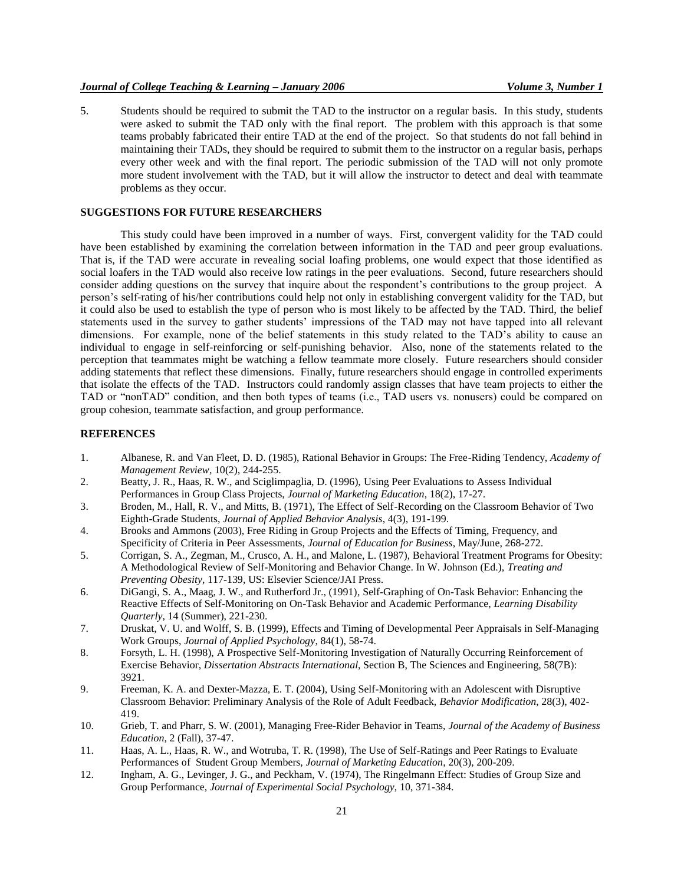# *Journal of College Teaching & Learning – January 2006 Volume 3, Number 1*

5. Students should be required to submit the TAD to the instructor on a regular basis. In this study, students were asked to submit the TAD only with the final report. The problem with this approach is that some teams probably fabricated their entire TAD at the end of the project. So that students do not fall behind in maintaining their TADs, they should be required to submit them to the instructor on a regular basis, perhaps every other week and with the final report. The periodic submission of the TAD will not only promote more student involvement with the TAD, but it will allow the instructor to detect and deal with teammate problems as they occur.

# **SUGGESTIONS FOR FUTURE RESEARCHERS**

This study could have been improved in a number of ways. First, convergent validity for the TAD could have been established by examining the correlation between information in the TAD and peer group evaluations. That is, if the TAD were accurate in revealing social loafing problems, one would expect that those identified as social loafers in the TAD would also receive low ratings in the peer evaluations. Second, future researchers should consider adding questions on the survey that inquire about the respondent's contributions to the group project. A person's self-rating of his/her contributions could help not only in establishing convergent validity for the TAD, but it could also be used to establish the type of person who is most likely to be affected by the TAD. Third, the belief statements used in the survey to gather students' impressions of the TAD may not have tapped into all relevant dimensions. For example, none of the belief statements in this study related to the TAD's ability to cause an individual to engage in self-reinforcing or self-punishing behavior. Also, none of the statements related to the perception that teammates might be watching a fellow teammate more closely. Future researchers should consider adding statements that reflect these dimensions. Finally, future researchers should engage in controlled experiments that isolate the effects of the TAD. Instructors could randomly assign classes that have team projects to either the TAD or "nonTAD" condition, and then both types of teams (i.e., TAD users vs. nonusers) could be compared on group cohesion, teammate satisfaction, and group performance.

### **REFERENCES**

- 1. Albanese, R. and Van Fleet, D. D. (1985), Rational Behavior in Groups: The Free-Riding Tendency, *Academy of Management Review*, 10(2), 244-255.
- 2. Beatty, J. R., Haas, R. W., and Sciglimpaglia, D. (1996), Using Peer Evaluations to Assess Individual Performances in Group Class Projects, *Journal of Marketing Education*, 18(2), 17-27.
- 3. Broden, M., Hall, R. V., and Mitts, B. (1971), The Effect of Self-Recording on the Classroom Behavior of Two Eighth-Grade Students, *Journal of Applied Behavior Analysis*, 4(3), 191-199.
- 4. Brooks and Ammons (2003), Free Riding in Group Projects and the Effects of Timing, Frequency, and Specificity of Criteria in Peer Assessments, *Journal of Education for Business*, May/June, 268-272.
- 5. Corrigan, S. A., Zegman, M., Crusco, A. H., and Malone, L. (1987), Behavioral Treatment Programs for Obesity: A Methodological Review of Self-Monitoring and Behavior Change. In W. Johnson (Ed.), *Treating and Preventing Obesity*, 117-139, US: Elsevier Science/JAI Press.
- 6. DiGangi, S. A., Maag, J. W., and Rutherford Jr., (1991), Self-Graphing of On-Task Behavior: Enhancing the Reactive Effects of Self-Monitoring on On-Task Behavior and Academic Performance, *Learning Disability Quarterly*, 14 (Summer), 221-230.
- 7. Druskat, V. U. and Wolff, S. B. (1999), Effects and Timing of Developmental Peer Appraisals in Self-Managing Work Groups, *Journal of Applied Psychology*, 84(1), 58-74.
- 8. Forsyth, L. H. (1998), A Prospective Self-Monitoring Investigation of Naturally Occurring Reinforcement of Exercise Behavior, *Dissertation Abstracts International*, Section B, The Sciences and Engineering, 58(7B): 3921.
- 9. Freeman, K. A. and Dexter-Mazza, E. T. (2004), Using Self-Monitoring with an Adolescent with Disruptive Classroom Behavior: Preliminary Analysis of the Role of Adult Feedback, *Behavior Modification*, 28(3), 402- 419.
- 10. Grieb, T. and Pharr, S. W. (2001), Managing Free-Rider Behavior in Teams, *Journal of the Academy of Business Education*, 2 (Fall), 37-47.
- 11. Haas, A. L., Haas, R. W., and Wotruba, T. R. (1998), The Use of Self-Ratings and Peer Ratings to Evaluate Performances of Student Group Members, *Journal of Marketing Education*, 20(3), 200-209.
- 12. Ingham, A. G., Levinger, J. G., and Peckham, V. (1974), The Ringelmann Effect: Studies of Group Size and Group Performance, *Journal of Experimental Social Psychology*, 10, 371-384.